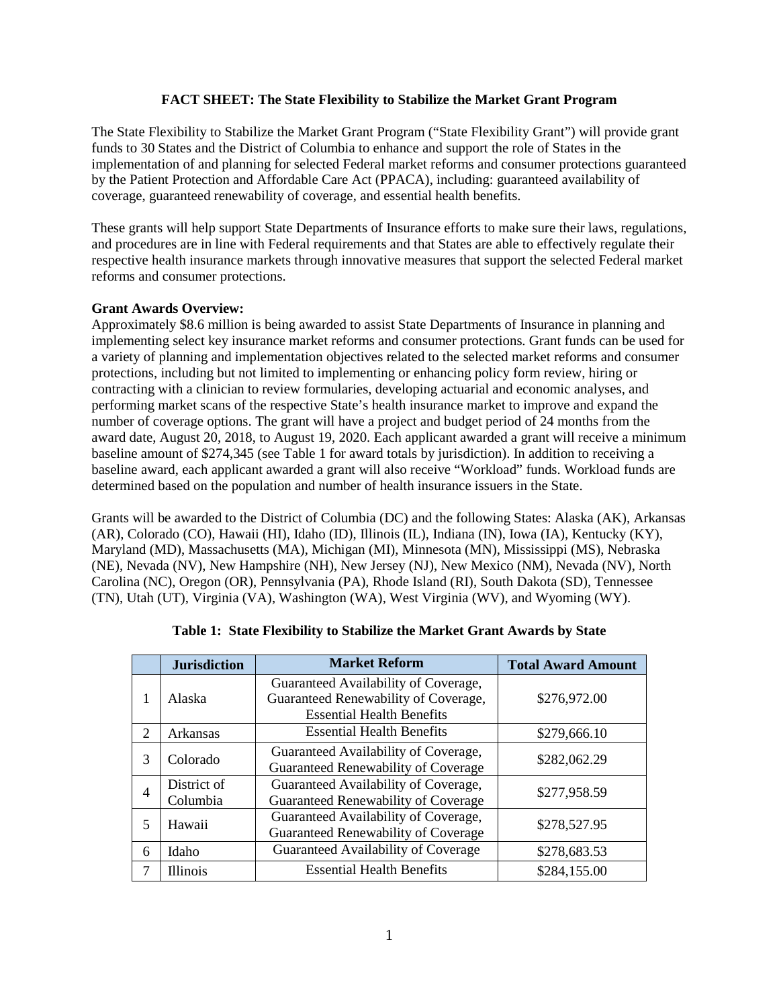## **FACT SHEET: The State Flexibility to Stabilize the Market Grant Program**

The State Flexibility to Stabilize the Market Grant Program ("State Flexibility Grant") will provide grant funds to 30 States and the District of Columbia to enhance and support the role of States in the implementation of and planning for selected Federal market reforms and consumer protections guaranteed by the Patient Protection and Affordable Care Act (PPACA), including: guaranteed availability of coverage, guaranteed renewability of coverage, and essential health benefits.

These grants will help support State Departments of Insurance efforts to make sure their laws, regulations, and procedures are in line with Federal requirements and that States are able to effectively regulate their respective health insurance markets through innovative measures that support the selected Federal market reforms and consumer protections.

## **Grant Awards Overview:**

Approximately \$8.6 million is being awarded to assist State Departments of Insurance in planning and implementing select key insurance market reforms and consumer protections. Grant funds can be used for a variety of planning and implementation objectives related to the selected market reforms and consumer protections, including but not limited to implementing or enhancing policy form review, hiring or contracting with a clinician to review formularies, developing actuarial and economic analyses, and performing market scans of the respective State's health insurance market to improve and expand the number of coverage options. The grant will have a project and budget period of 24 months from the award date, August 20, 2018, to August 19, 2020. Each applicant awarded a grant will receive a minimum baseline amount of \$274,345 (see Table 1 for award totals by jurisdiction). In addition to receiving a baseline award, each applicant awarded a grant will also receive "Workload" funds. Workload funds are determined based on the population and number of health insurance issuers in the State.

Grants will be awarded to the District of Columbia (DC) and the following States: Alaska (AK), Arkansas (AR), Colorado (CO), Hawaii (HI), Idaho (ID), Illinois (IL), Indiana (IN), Iowa (IA), Kentucky (KY), Maryland (MD), Massachusetts (MA), Michigan (MI), Minnesota (MN), Mississippi (MS), Nebraska (NE), Nevada (NV), New Hampshire (NH), New Jersey (NJ), New Mexico (NM), Nevada (NV), North Carolina (NC), Oregon (OR), Pennsylvania (PA), Rhode Island (RI), South Dakota (SD), Tennessee (TN), Utah (UT), Virginia (VA), Washington (WA), West Virginia (WV), and Wyoming (WY).

|                       | <b>Jurisdiction</b> | <b>Market Reform</b>                 | <b>Total Award Amount</b> |  |  |  |
|-----------------------|---------------------|--------------------------------------|---------------------------|--|--|--|
| 1                     | Alaska              | Guaranteed Availability of Coverage, |                           |  |  |  |
|                       |                     | Guaranteed Renewability of Coverage, | \$276,972.00              |  |  |  |
|                       |                     | <b>Essential Health Benefits</b>     |                           |  |  |  |
| $\mathcal{D}_{\cdot}$ | Arkansas            | <b>Essential Health Benefits</b>     | \$279,666.10              |  |  |  |
| 3                     | Colorado            | Guaranteed Availability of Coverage, | \$282,062.29              |  |  |  |
|                       |                     | Guaranteed Renewability of Coverage  |                           |  |  |  |
| 4                     | District of         | Guaranteed Availability of Coverage, | \$277,958.59              |  |  |  |
|                       | Columbia            | Guaranteed Renewability of Coverage  |                           |  |  |  |
| 5                     | Hawaii              | Guaranteed Availability of Coverage, | \$278,527.95              |  |  |  |
|                       |                     | Guaranteed Renewability of Coverage  |                           |  |  |  |
| 6                     | Idaho               | Guaranteed Availability of Coverage  | \$278,683.53              |  |  |  |
| 7                     | <b>Illinois</b>     | <b>Essential Health Benefits</b>     | \$284,155.00              |  |  |  |

|  |  |  |  |  | Table 1: State Flexibility to Stabilize the Market Grant Awards by State |  |
|--|--|--|--|--|--------------------------------------------------------------------------|--|
|--|--|--|--|--|--------------------------------------------------------------------------|--|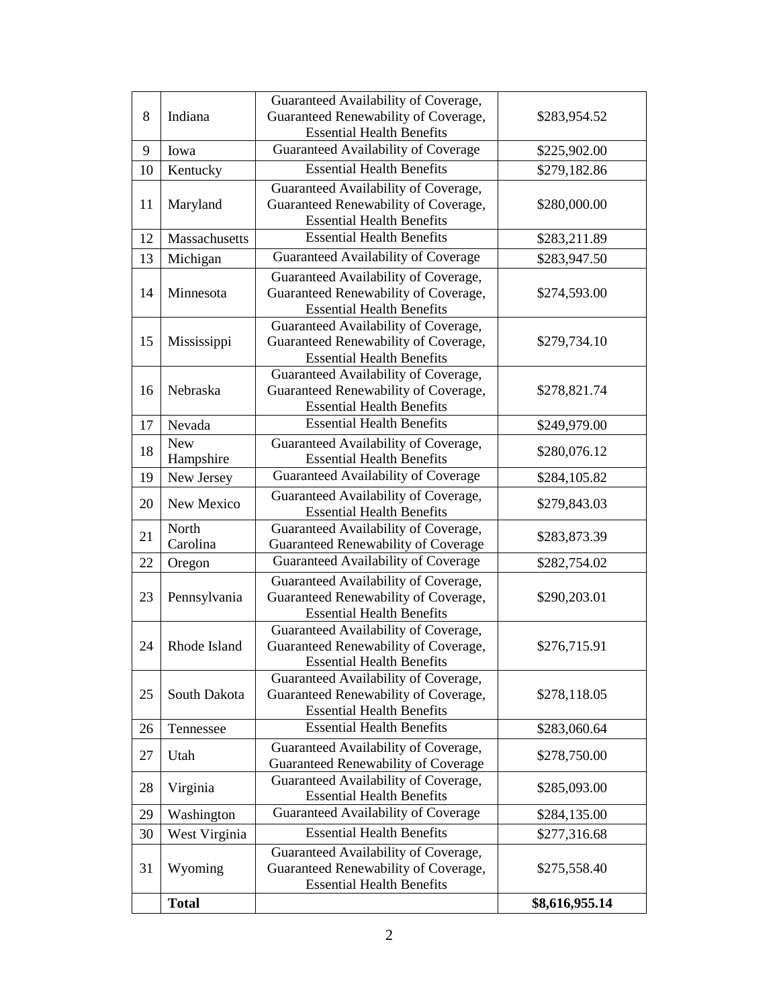| 8  | Indiana       | Guaranteed Availability of Coverage,                                        |                |  |
|----|---------------|-----------------------------------------------------------------------------|----------------|--|
|    |               | Guaranteed Renewability of Coverage,                                        | \$283,954.52   |  |
|    |               | <b>Essential Health Benefits</b>                                            |                |  |
| 9  | Iowa          | Guaranteed Availability of Coverage                                         | \$225,902.00   |  |
| 10 | Kentucky      | <b>Essential Health Benefits</b>                                            | \$279,182.86   |  |
|    |               | Guaranteed Availability of Coverage,                                        |                |  |
| 11 | Maryland      | Guaranteed Renewability of Coverage,                                        | \$280,000.00   |  |
|    |               | <b>Essential Health Benefits</b>                                            |                |  |
| 12 | Massachusetts | <b>Essential Health Benefits</b>                                            | \$283,211.89   |  |
| 13 | Michigan      | Guaranteed Availability of Coverage                                         | \$283,947.50   |  |
| 14 | Minnesota     | Guaranteed Availability of Coverage,                                        |                |  |
|    |               | Guaranteed Renewability of Coverage,                                        | \$274,593.00   |  |
|    |               | <b>Essential Health Benefits</b>                                            |                |  |
|    | Mississippi   | Guaranteed Availability of Coverage,                                        |                |  |
| 15 |               | Guaranteed Renewability of Coverage,                                        | \$279,734.10   |  |
|    |               | <b>Essential Health Benefits</b>                                            |                |  |
| 16 | Nebraska      | Guaranteed Availability of Coverage,                                        |                |  |
|    |               | Guaranteed Renewability of Coverage,                                        | \$278,821.74   |  |
|    |               | <b>Essential Health Benefits</b>                                            |                |  |
| 17 | Nevada        | <b>Essential Health Benefits</b>                                            | \$249,979.00   |  |
| 18 | <b>New</b>    | Guaranteed Availability of Coverage,                                        | \$280,076.12   |  |
|    | Hampshire     | <b>Essential Health Benefits</b>                                            |                |  |
| 19 | New Jersey    | Guaranteed Availability of Coverage                                         | \$284,105.82   |  |
| 20 | New Mexico    | Guaranteed Availability of Coverage,                                        | \$279,843.03   |  |
|    |               | <b>Essential Health Benefits</b>                                            |                |  |
| 21 | North         | Guaranteed Availability of Coverage,                                        | \$283,873.39   |  |
|    | Carolina      | Guaranteed Renewability of Coverage                                         |                |  |
| 22 | Oregon        | Guaranteed Availability of Coverage                                         | \$282,754.02   |  |
|    | Pennsylvania  | Guaranteed Availability of Coverage,                                        |                |  |
| 23 |               | Guaranteed Renewability of Coverage,                                        | \$290,203.01   |  |
|    |               | <b>Essential Health Benefits</b>                                            |                |  |
|    | Rhode Island  | Guaranteed Availability of Coverage,                                        |                |  |
| 24 |               | Guaranteed Renewability of Coverage,                                        | \$276,715.91   |  |
|    |               | <b>Essential Health Benefits</b>                                            |                |  |
|    | South Dakota  | Guaranteed Availability of Coverage,                                        |                |  |
| 25 |               | Guaranteed Renewability of Coverage,<br><b>Essential Health Benefits</b>    | \$278,118.05   |  |
|    | Tennessee     | <b>Essential Health Benefits</b>                                            |                |  |
| 26 |               |                                                                             | \$283,060.64   |  |
| 27 | Utah          | Guaranteed Availability of Coverage,<br>Guaranteed Renewability of Coverage | \$278,750.00   |  |
|    | Virginia      | Guaranteed Availability of Coverage,                                        |                |  |
| 28 |               | <b>Essential Health Benefits</b>                                            | \$285,093.00   |  |
| 29 | Washington    | Guaranteed Availability of Coverage                                         | \$284,135.00   |  |
| 30 | West Virginia | <b>Essential Health Benefits</b>                                            | \$277,316.68   |  |
|    |               | Guaranteed Availability of Coverage,                                        |                |  |
| 31 | Wyoming       | Guaranteed Renewability of Coverage,                                        | \$275,558.40   |  |
|    |               | <b>Essential Health Benefits</b>                                            |                |  |
|    | <b>Total</b>  |                                                                             | \$8,616,955.14 |  |
|    |               |                                                                             |                |  |